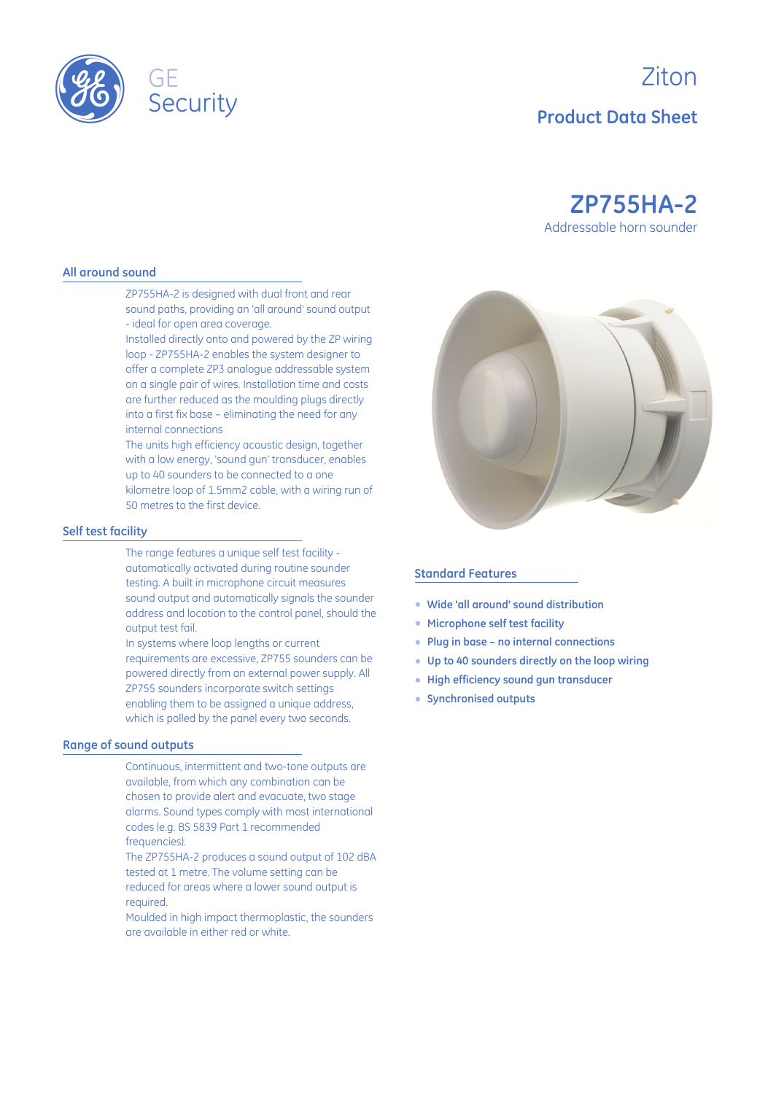

# Ziton **Product Data Sheet**

## **ZP755HA-2** Addressable horn sounder

#### **All around sound**

ZP755HA-2 is designed with dual front and rear sound paths, providing an 'all around' sound output - ideal for open area coverage.

Installed directly onto and powered by the ZP wiring loop - ZP755HA-2 enables the system designer to offer a complete ZP3 analogue addressable system on a single pair of wires. Installation time and costs are further reduced as the moulding plugs directly into a first fix base – eliminating the need for any internal connections

The units high efficiency acoustic design, together with a low energy, 'sound gun' transducer, enables up to 40 sounders to be connected to a one kilometre loop of 1.5mm2 cable, with a wiring run of 50 metres to the first device.

#### **Self test facility**

The range features a unique self test facility automatically activated during routine sounder testing. A built in microphone circuit measures sound output and automatically signals the sounder address and location to the control panel, should the output test fail.

In systems where loop lengths or current requirements are excessive, ZP755 sounders can be powered directly from an external power supply. All ZP755 sounders incorporate switch settings enabling them to be assigned a unique address, which is polled by the panel every two seconds.

#### **Range of sound outputs**

Continuous, intermittent and two-tone outputs are available, from which any combination can be chosen to provide alert and evacuate, two stage alarms. Sound types comply with most international codes (e.g. BS 5839 Part 1 recommended frequencies).

The ZP755HA-2 produces a sound output of 102 dBA tested at 1 metre. The volume setting can be reduced for areas where a lower sound output is required.

Moulded in high impact thermoplastic, the sounders are available in either red or white.



#### **Standard Features**

- E **Wide 'all around' sound distribution**
- E **Microphone self test facility**
- E **Plug in base no internal connections**
- E **Up to 40 sounders directly on the loop wiring**
- E **High efficiency sound gun transducer**
- E **Synchronised outputs**